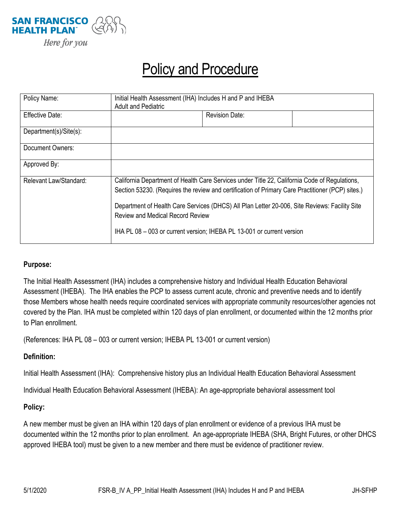

## Policy and Procedure

| Policy Name:           | Initial Health Assessment (IHA) Includes H and P and IHEBA<br><b>Adult and Pediatric</b>                                                                                                          |                       |  |
|------------------------|---------------------------------------------------------------------------------------------------------------------------------------------------------------------------------------------------|-----------------------|--|
| Effective Date:        |                                                                                                                                                                                                   | <b>Revision Date:</b> |  |
| Department(s)/Site(s): |                                                                                                                                                                                                   |                       |  |
| Document Owners:       |                                                                                                                                                                                                   |                       |  |
| Approved By:           |                                                                                                                                                                                                   |                       |  |
| Relevant Law/Standard: | California Department of Health Care Services under Title 22, California Code of Regulations,<br>Section 53230. (Requires the review and certification of Primary Care Practitioner (PCP) sites.) |                       |  |
|                        | Department of Health Care Services (DHCS) All Plan Letter 20-006, Site Reviews: Facility Site<br><b>Review and Medical Record Review</b>                                                          |                       |  |
|                        | IHA PL 08 - 003 or current version; IHEBA PL 13-001 or current version                                                                                                                            |                       |  |

## **Purpose:**

The Initial Health Assessment (IHA) includes a comprehensive history and Individual Health Education Behavioral Assessment (IHEBA). The IHA enables the PCP to assess current acute, chronic and preventive needs and to identify those Members whose health needs require coordinated services with appropriate community resources/other agencies not covered by the Plan. IHA must be completed within 120 days of plan enrollment, or documented within the 12 months prior to Plan enrollment.

(References: IHA PL 08 – 003 or current version; IHEBA PL 13-001 or current version)

## **Definition:**

Initial Health Assessment (IHA): Comprehensive history plus an Individual Health Education Behavioral Assessment

Individual Health Education Behavioral Assessment (IHEBA): An age-appropriate behavioral assessment tool

## **Policy:**

A new member must be given an IHA within 120 days of plan enrollment or evidence of a previous IHA must be documented within the 12 months prior to plan enrollment. An age-appropriate IHEBA (SHA, Bright Futures, or other DHCS approved IHEBA tool) must be given to a new member and there must be evidence of practitioner review.